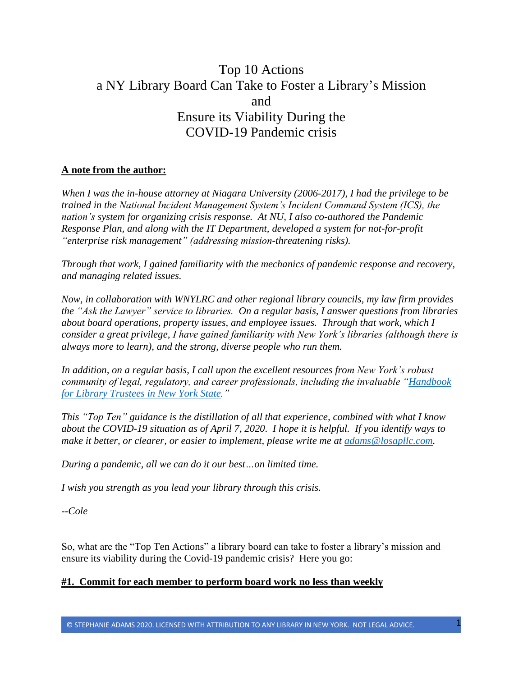# Top 10 Actions a NY Library Board Can Take to Foster a Library's Mission and Ensure its Viability During the COVID-19 Pandemic crisis

## **A note from the author:**

*When I was the in-house attorney at Niagara University (2006-2017), I had the privilege to be trained in the National Incident Management System's Incident Command System (ICS), the nation's system for organizing crisis response. At NU, I also co-authored the Pandemic Response Plan, and along with the IT Department, developed a system for not-for-profit "enterprise risk management" (addressing mission-threatening risks).* 

*Through that work, I gained familiarity with the mechanics of pandemic response and recovery, and managing related issues.* 

*Now, in collaboration with WNYLRC and other regional library councils, my law firm provides the "Ask the Lawyer" service to libraries. On a regular basis, I answer questions from libraries about board operations, property issues, and employee issues. Through that work, which I consider a great privilege, I have gained familiarity with New York's libraries (although there is always more to learn), and the strong, diverse people who run them.*

*In addition, on a regular basis, I call upon the excellent resources from New York's robust community of legal, regulatory, and career professionals, including the invaluable ["Handbook](http://www.nysl.nysed.gov/libdev/trustees/handbook/handbook.pdf)  [for Library Trustees in New York State.](http://www.nysl.nysed.gov/libdev/trustees/handbook/handbook.pdf)"*

*This "Top Ten" guidance is the distillation of all that experience, combined with what I know about the COVID-19 situation as of April 7, 2020. I hope it is helpful. If you identify ways to make it better, or clearer, or easier to implement, please write me at [adams@losapllc.com.](mailto:adams@losapllc.com)*

*During a pandemic, all we can do it our best…on limited time.* 

*I wish you strength as you lead your library through this crisis.*

*--Cole*

So, what are the "Top Ten Actions" a library board can take to foster a library's mission and ensure its viability during the Covid-19 pandemic crisis? Here you go:

#### **#1. Commit for each member to perform board work no less than weekly**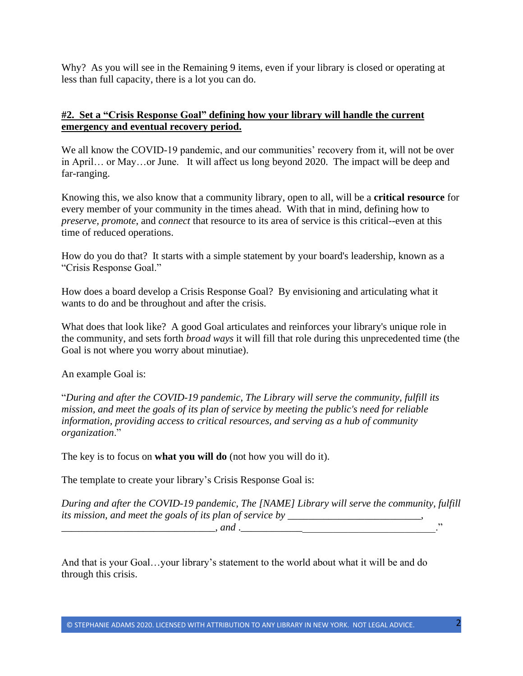Why? As you will see in the Remaining 9 items, even if your library is closed or operating at less than full capacity, there is a lot you can do.

## **#2. Set a "Crisis Response Goal" defining how your library will handle the current emergency and eventual recovery period.**

We all know the COVID-19 pandemic, and our communities' recovery from it, will not be over in April… or May…or June. It will affect us long beyond 2020. The impact will be deep and far-ranging.

Knowing this, we also know that a community library, open to all, will be a **critical resource** for every member of your community in the times ahead. With that in mind, defining how to *preserve, promote*, and *connect* that resource to its area of service is this critical--even at this time of reduced operations.

How do you do that? It starts with a simple statement by your board's leadership, known as a "Crisis Response Goal."

How does a board develop a Crisis Response Goal? By envisioning and articulating what it wants to do and be throughout and after the crisis.

What does that look like? A good Goal articulates and reinforces your library's unique role in the community, and sets forth *broad ways* it will fill that role during this unprecedented time (the Goal is not where you worry about minutiae).

An example Goal is:

"*During and after the COVID-19 pandemic, The Library will serve the community, fulfill its mission, and meet the goals of its plan of service by meeting the public's need for reliable information, providing access to critical resources, and serving as a hub of community organization*."

The key is to focus on **what you will do** (not how you will do it).

The template to create your library's Crisis Response Goal is:

*During and after the COVID-19 pandemic, The [NAME] Library will serve the community, fulfill its mission, and meet the goals of its plan of service by \_\_\_\_\_\_\_\_\_\_\_\_\_\_\_\_\_\_\_\_\_\_ \_\_\_\_\_\_\_\_\_\_\_\_\_\_\_\_\_\_\_\_\_\_\_\_\_\_\_\_\_\_, and* .\_\_\_\_\_\_\_\_\_\_\_\_\_\_\_\_\_\_\_\_\_\_\_\_\_\_\_\_\_\_\_\_\_\_\_\_\_\_."

And that is your Goal…your library's statement to the world about what it will be and do through this crisis.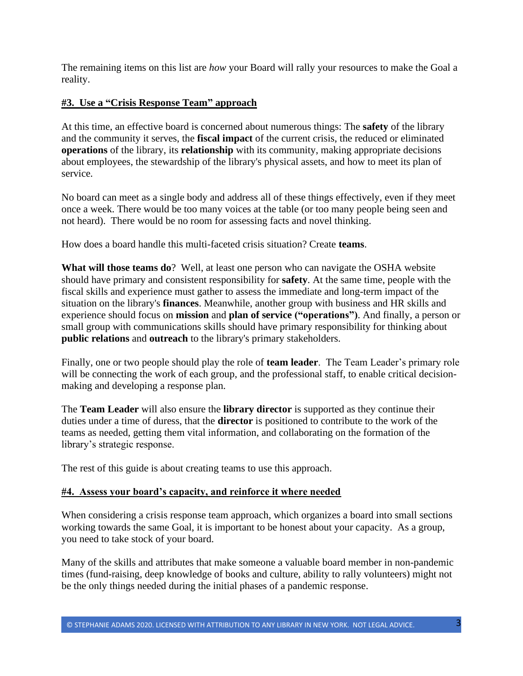The remaining items on this list are *how* your Board will rally your resources to make the Goal a reality.

# **#3. Use a "Crisis Response Team" approach**

At this time, an effective board is concerned about numerous things: The **safety** of the library and the community it serves, the **fiscal impact** of the current crisis, the reduced or eliminated **operations** of the library, its **relationship** with its community, making appropriate decisions about employees, the stewardship of the library's physical assets, and how to meet its plan of service.

No board can meet as a single body and address all of these things effectively, even if they meet once a week. There would be too many voices at the table (or too many people being seen and not heard). There would be no room for assessing facts and novel thinking.

How does a board handle this multi-faceted crisis situation? Create **teams**.

**What will those teams do**? Well, at least one person who can navigate the OSHA website should have primary and consistent responsibility for **safety**. At the same time, people with the fiscal skills and experience must gather to assess the immediate and long-term impact of the situation on the library's **finances**. Meanwhile, another group with business and HR skills and experience should focus on **mission** and **plan of service ("operations")**. And finally, a person or small group with communications skills should have primary responsibility for thinking about **public relations** and **outreach** to the library's primary stakeholders.

Finally, one or two people should play the role of **team leader**. The Team Leader's primary role will be connecting the work of each group, and the professional staff, to enable critical decisionmaking and developing a response plan.

The **Team Leader** will also ensure the **library director** is supported as they continue their duties under a time of duress, that the **director** is positioned to contribute to the work of the teams as needed, getting them vital information, and collaborating on the formation of the library's strategic response.

The rest of this guide is about creating teams to use this approach.

# **#4. Assess your board's capacity, and reinforce it where needed**

When considering a crisis response team approach, which organizes a board into small sections working towards the same Goal, it is important to be honest about your capacity. As a group, you need to take stock of your board.

Many of the skills and attributes that make someone a valuable board member in non-pandemic times (fund-raising, deep knowledge of books and culture, ability to rally volunteers) might not be the only things needed during the initial phases of a pandemic response.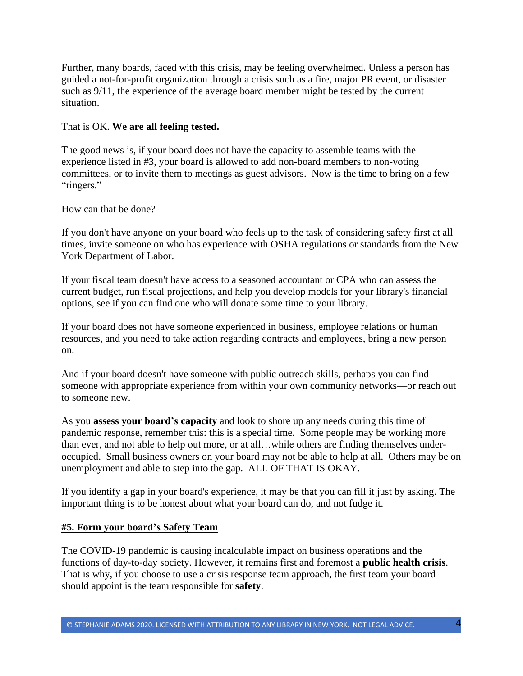Further, many boards, faced with this crisis, may be feeling overwhelmed. Unless a person has guided a not-for-profit organization through a crisis such as a fire, major PR event, or disaster such as 9/11, the experience of the average board member might be tested by the current situation.

## That is OK. **We are all feeling tested.**

The good news is, if your board does not have the capacity to assemble teams with the experience listed in #3, your board is allowed to add non-board members to non-voting committees, or to invite them to meetings as guest advisors. Now is the time to bring on a few "ringers."

How can that be done?

If you don't have anyone on your board who feels up to the task of considering safety first at all times, invite someone on who has experience with OSHA regulations or standards from the New York Department of Labor.

If your fiscal team doesn't have access to a seasoned accountant or CPA who can assess the current budget, run fiscal projections, and help you develop models for your library's financial options, see if you can find one who will donate some time to your library.

If your board does not have someone experienced in business, employee relations or human resources, and you need to take action regarding contracts and employees, bring a new person on.

And if your board doesn't have someone with public outreach skills, perhaps you can find someone with appropriate experience from within your own community networks—or reach out to someone new.

As you **assess your board's capacity** and look to shore up any needs during this time of pandemic response, remember this: this is a special time. Some people may be working more than ever, and not able to help out more, or at all…while others are finding themselves underoccupied. Small business owners on your board may not be able to help at all. Others may be on unemployment and able to step into the gap. ALL OF THAT IS OKAY.

If you identify a gap in your board's experience, it may be that you can fill it just by asking. The important thing is to be honest about what your board can do, and not fudge it.

# **#5. Form your board's Safety Team**

The COVID-19 pandemic is causing incalculable impact on business operations and the functions of day-to-day society. However, it remains first and foremost a **public health crisis**. That is why, if you choose to use a crisis response team approach, the first team your board should appoint is the team responsible for **safety**.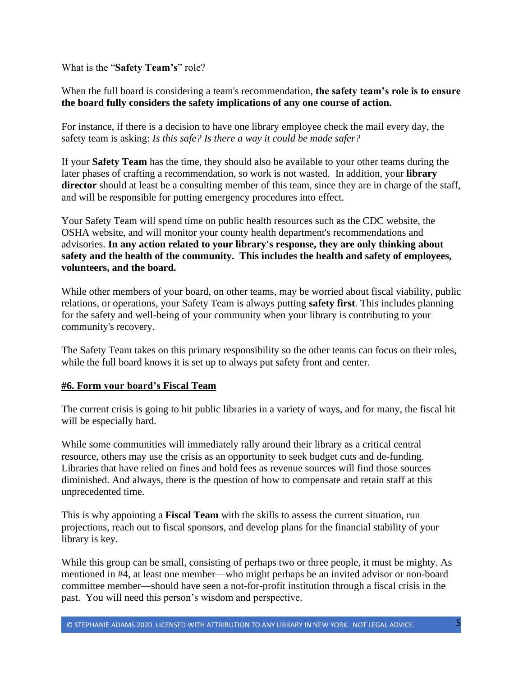What is the "**Safety Team's**" role?

When the full board is considering a team's recommendation, **the safety team's role is to ensure the board fully considers the safety implications of any one course of action.**

For instance, if there is a decision to have one library employee check the mail every day, the safety team is asking: *Is this safe? Is there a way it could be made safer?* 

If your **Safety Team** has the time, they should also be available to your other teams during the later phases of crafting a recommendation, so work is not wasted. In addition, your **library director** should at least be a consulting member of this team, since they are in charge of the staff, and will be responsible for putting emergency procedures into effect.

Your Safety Team will spend time on public health resources such as the CDC website, the OSHA website, and will monitor your county health department's recommendations and advisories. **In any action related to your library's response, they are only thinking about safety and the health of the community. This includes the health and safety of employees, volunteers, and the board.**

While other members of your board, on other teams, may be worried about fiscal viability, public relations, or operations, your Safety Team is always putting **safety first**. This includes planning for the safety and well-being of your community when your library is contributing to your community's recovery.

The Safety Team takes on this primary responsibility so the other teams can focus on their roles, while the full board knows it is set up to always put safety front and center.

#### **#6. Form your board's Fiscal Team**

The current crisis is going to hit public libraries in a variety of ways, and for many, the fiscal hit will be especially hard.

While some communities will immediately rally around their library as a critical central resource, others may use the crisis as an opportunity to seek budget cuts and de-funding. Libraries that have relied on fines and hold fees as revenue sources will find those sources diminished. And always, there is the question of how to compensate and retain staff at this unprecedented time.

This is why appointing a **Fiscal Team** with the skills to assess the current situation, run projections, reach out to fiscal sponsors, and develop plans for the financial stability of your library is key.

While this group can be small, consisting of perhaps two or three people, it must be mighty. As mentioned in #4, at least one member—who might perhaps be an invited advisor or non-board committee member—should have seen a not-for-profit institution through a fiscal crisis in the past. You will need this person's wisdom and perspective.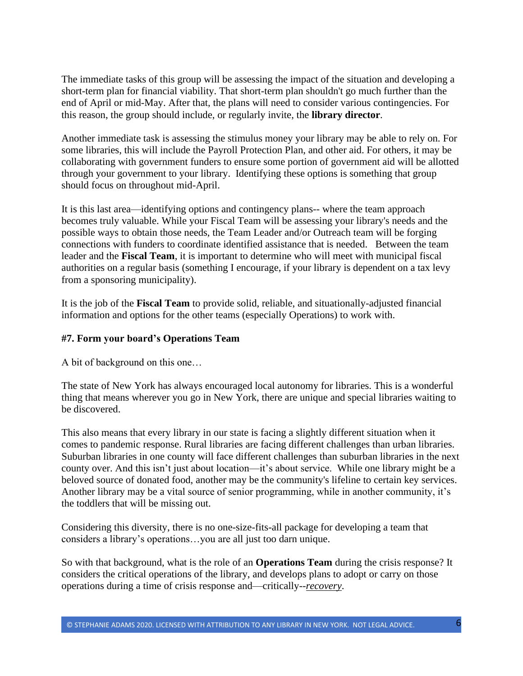The immediate tasks of this group will be assessing the impact of the situation and developing a short-term plan for financial viability. That short-term plan shouldn't go much further than the end of April or mid-May. After that, the plans will need to consider various contingencies. For this reason, the group should include, or regularly invite, the **library director**.

Another immediate task is assessing the stimulus money your library may be able to rely on. For some libraries, this will include the Payroll Protection Plan, and other aid. For others, it may be collaborating with government funders to ensure some portion of government aid will be allotted through your government to your library. Identifying these options is something that group should focus on throughout mid-April.

It is this last area—identifying options and contingency plans-- where the team approach becomes truly valuable. While your Fiscal Team will be assessing your library's needs and the possible ways to obtain those needs, the Team Leader and/or Outreach team will be forging connections with funders to coordinate identified assistance that is needed. Between the team leader and the **Fiscal Team**, it is important to determine who will meet with municipal fiscal authorities on a regular basis (something I encourage, if your library is dependent on a tax levy from a sponsoring municipality).

It is the job of the **Fiscal Team** to provide solid, reliable, and situationally-adjusted financial information and options for the other teams (especially Operations) to work with.

## **#7. Form your board's Operations Team**

A bit of background on this one…

The state of New York has always encouraged local autonomy for libraries. This is a wonderful thing that means wherever you go in New York, there are unique and special libraries waiting to be discovered.

This also means that every library in our state is facing a slightly different situation when it comes to pandemic response. Rural libraries are facing different challenges than urban libraries. Suburban libraries in one county will face different challenges than suburban libraries in the next county over. And this isn't just about location—it's about service. While one library might be a beloved source of donated food, another may be the community's lifeline to certain key services. Another library may be a vital source of senior programming, while in another community, it's the toddlers that will be missing out.

Considering this diversity, there is no one-size-fits-all package for developing a team that considers a library's operations…you are all just too darn unique.

So with that background, what is the role of an **Operations Team** during the crisis response? It considers the critical operations of the library, and develops plans to adopt or carry on those operations during a time of crisis response and—critically--*recovery*.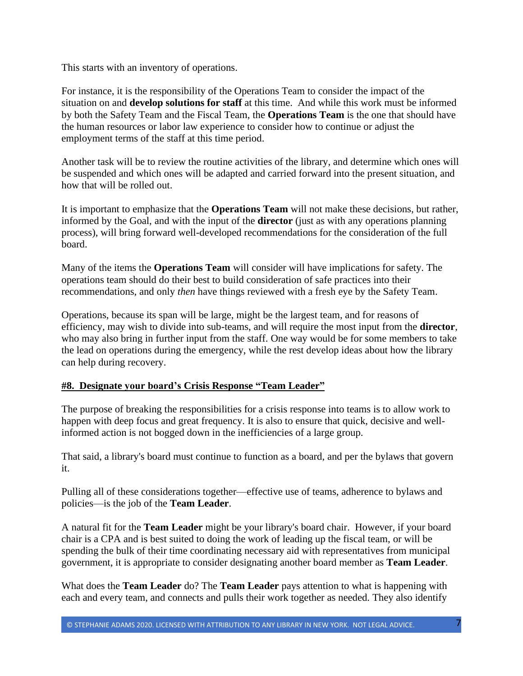This starts with an inventory of operations.

For instance, it is the responsibility of the Operations Team to consider the impact of the situation on and **develop solutions for staff** at this time. And while this work must be informed by both the Safety Team and the Fiscal Team, the **Operations Team** is the one that should have the human resources or labor law experience to consider how to continue or adjust the employment terms of the staff at this time period.

Another task will be to review the routine activities of the library, and determine which ones will be suspended and which ones will be adapted and carried forward into the present situation, and how that will be rolled out.

It is important to emphasize that the **Operations Team** will not make these decisions, but rather, informed by the Goal, and with the input of the **director** (just as with any operations planning process), will bring forward well-developed recommendations for the consideration of the full board.

Many of the items the **Operations Team** will consider will have implications for safety. The operations team should do their best to build consideration of safe practices into their recommendations, and only *then* have things reviewed with a fresh eye by the Safety Team.

Operations, because its span will be large, might be the largest team, and for reasons of efficiency, may wish to divide into sub-teams, and will require the most input from the **director**, who may also bring in further input from the staff. One way would be for some members to take the lead on operations during the emergency, while the rest develop ideas about how the library can help during recovery.

# **#8. Designate your board's Crisis Response "Team Leader"**

The purpose of breaking the responsibilities for a crisis response into teams is to allow work to happen with deep focus and great frequency. It is also to ensure that quick, decisive and wellinformed action is not bogged down in the inefficiencies of a large group.

That said, a library's board must continue to function as a board, and per the bylaws that govern it.

Pulling all of these considerations together—effective use of teams, adherence to bylaws and policies—is the job of the **Team Leader**.

A natural fit for the **Team Leader** might be your library's board chair. However, if your board chair is a CPA and is best suited to doing the work of leading up the fiscal team, or will be spending the bulk of their time coordinating necessary aid with representatives from municipal government, it is appropriate to consider designating another board member as **Team Leader**.

What does the **Team Leader** do? The **Team Leader** pays attention to what is happening with each and every team, and connects and pulls their work together as needed. They also identify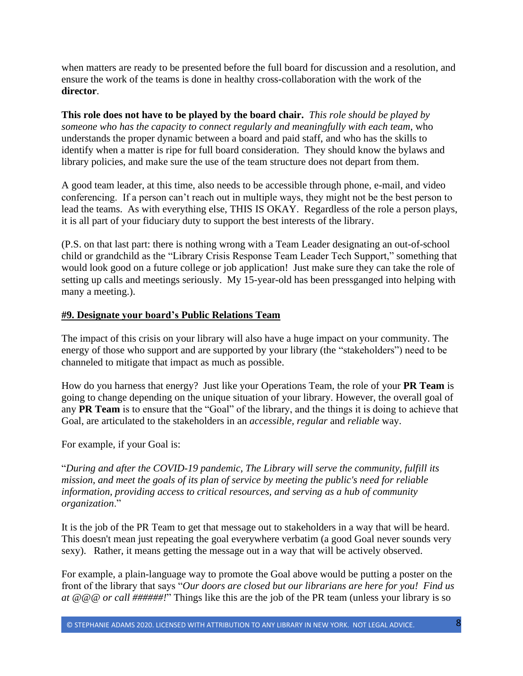when matters are ready to be presented before the full board for discussion and a resolution, and ensure the work of the teams is done in healthy cross-collaboration with the work of the **director**.

**This role does not have to be played by the board chair.** *This role should be played by someone who has the capacity to connect regularly and meaningfully with each team*, who understands the proper dynamic between a board and paid staff, and who has the skills to identify when a matter is ripe for full board consideration. They should know the bylaws and library policies, and make sure the use of the team structure does not depart from them.

A good team leader, at this time, also needs to be accessible through phone, e-mail, and video conferencing. If a person can't reach out in multiple ways, they might not be the best person to lead the teams. As with everything else, THIS IS OKAY. Regardless of the role a person plays, it is all part of your fiduciary duty to support the best interests of the library.

(P.S. on that last part: there is nothing wrong with a Team Leader designating an out-of-school child or grandchild as the "Library Crisis Response Team Leader Tech Support," something that would look good on a future college or job application! Just make sure they can take the role of setting up calls and meetings seriously. My 15-year-old has been pressganged into helping with many a meeting.).

### **#9. Designate your board's Public Relations Team**

The impact of this crisis on your library will also have a huge impact on your community. The energy of those who support and are supported by your library (the "stakeholders") need to be channeled to mitigate that impact as much as possible.

How do you harness that energy? Just like your Operations Team, the role of your **PR Team** is going to change depending on the unique situation of your library. However, the overall goal of any **PR Team** is to ensure that the "Goal" of the library, and the things it is doing to achieve that Goal, are articulated to the stakeholders in an *accessible, regular* and *reliable* way.

For example, if your Goal is:

"*During and after the COVID-19 pandemic, The Library will serve the community, fulfill its mission, and meet the goals of its plan of service by meeting the public's need for reliable information, providing access to critical resources, and serving as a hub of community organization*."

It is the job of the PR Team to get that message out to stakeholders in a way that will be heard. This doesn't mean just repeating the goal everywhere verbatim (a good Goal never sounds very sexy). Rather, it means getting the message out in a way that will be actively observed.

For example, a plain-language way to promote the Goal above would be putting a poster on the front of the library that says "*Our doors are closed but our librarians are here for you! Find us at @@@ or call ######!*" Things like this are the job of the PR team (unless your library is so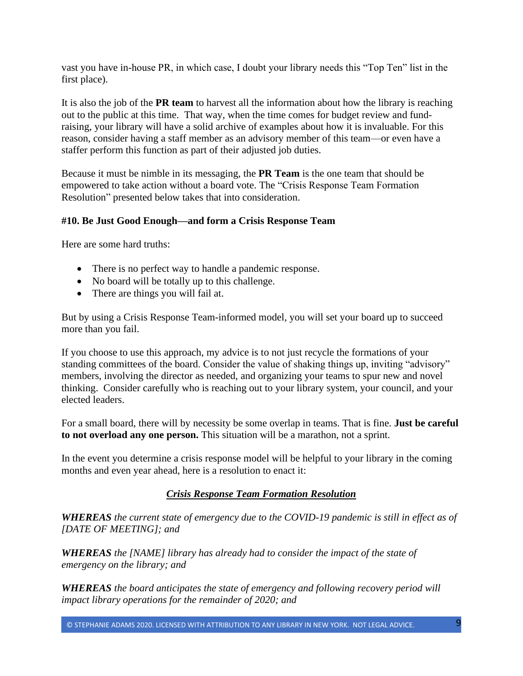vast you have in-house PR, in which case, I doubt your library needs this "Top Ten" list in the first place).

It is also the job of the **PR team** to harvest all the information about how the library is reaching out to the public at this time. That way, when the time comes for budget review and fundraising, your library will have a solid archive of examples about how it is invaluable. For this reason, consider having a staff member as an advisory member of this team—or even have a staffer perform this function as part of their adjusted job duties.

Because it must be nimble in its messaging, the **PR Team** is the one team that should be empowered to take action without a board vote. The "Crisis Response Team Formation Resolution" presented below takes that into consideration.

# **#10. Be Just Good Enough—and form a Crisis Response Team**

Here are some hard truths:

- There is no perfect way to handle a pandemic response.
- No board will be totally up to this challenge.
- There are things you will fail at.

But by using a Crisis Response Team-informed model, you will set your board up to succeed more than you fail.

If you choose to use this approach, my advice is to not just recycle the formations of your standing committees of the board. Consider the value of shaking things up, inviting "advisory" members, involving the director as needed, and organizing your teams to spur new and novel thinking. Consider carefully who is reaching out to your library system, your council, and your elected leaders.

For a small board, there will by necessity be some overlap in teams. That is fine. **Just be careful to not overload any one person.** This situation will be a marathon, not a sprint.

In the event you determine a crisis response model will be helpful to your library in the coming months and even year ahead, here is a resolution to enact it:

#### *Crisis Response Team Formation Resolution*

*WHEREAS the current state of emergency due to the COVID-19 pandemic is still in effect as of [DATE OF MEETING]; and*

*WHEREAS the [NAME] library has already had to consider the impact of the state of emergency on the library; and*

*WHEREAS the board anticipates the state of emergency and following recovery period will impact library operations for the remainder of 2020; and*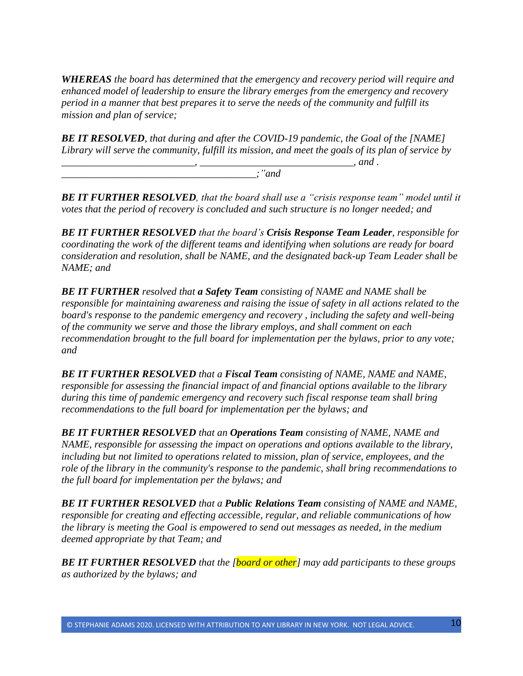*WHEREAS the board has determined that the emergency and recovery period will require and enhanced model of leadership to ensure the library emerges from the emergency and recovery period in a manner that best prepares it to serve the needs of the community and fulfill its mission and plan of service;*

*BE IT RESOLVED, that during and after the COVID-19 pandemic, the Goal of the [NAME] Library will serve the community, fulfill its mission, and meet the goals of its plan of service by \_\_\_\_\_\_\_\_\_\_\_\_\_\_\_\_\_\_\_\_\_\_\_\_\_\_, \_\_\_\_\_\_\_\_\_\_\_\_\_\_\_\_\_\_\_\_\_\_\_\_\_\_\_\_\_\_, and .*

*\_\_\_\_\_\_\_\_\_\_\_\_\_\_\_\_\_\_\_\_\_\_\_\_\_\_\_\_\_\_\_\_\_\_\_\_\_\_;"and*

*BE IT FURTHER RESOLVED, that the board shall use a "crisis response team" model until it votes that the period of recovery is concluded and such structure is no longer needed; and*

*BE IT FURTHER RESOLVED that the board's Crisis Response Team Leader, responsible for coordinating the work of the different teams and identifying when solutions are ready for board consideration and resolution, shall be NAME, and the designated back-up Team Leader shall be NAME; and*

*BE IT FURTHER resolved that a Safety Team consisting of NAME and NAME shall be responsible for maintaining awareness and raising the issue of safety in all actions related to the board's response to the pandemic emergency and recovery , including the safety and well-being of the community we serve and those the library employs, and shall comment on each recommendation brought to the full board for implementation per the bylaws, prior to any vote; and* 

*BE IT FURTHER RESOLVED that a Fiscal Team consisting of NAME, NAME and NAME, responsible for assessing the financial impact of and financial options available to the library during this time of pandemic emergency and recovery such fiscal response team shall bring recommendations to the full board for implementation per the bylaws; and* 

*BE IT FURTHER RESOLVED that an Operations Team consisting of NAME, NAME and NAME, responsible for assessing the impact on operations and options available to the library, including but not limited to operations related to mission, plan of service, employees, and the role of the library in the community's response to the pandemic, shall bring recommendations to the full board for implementation per the bylaws; and*

*BE IT FURTHER RESOLVED that a Public Relations Team consisting of NAME and NAME, responsible for creating and effecting accessible, regular, and reliable communications of how the library is meeting the Goal is empowered to send out messages as needed, in the medium deemed appropriate by that Team; and*

*BE IT FURTHER RESOLVED that the [board or other] may add participants to these groups as authorized by the bylaws; and*